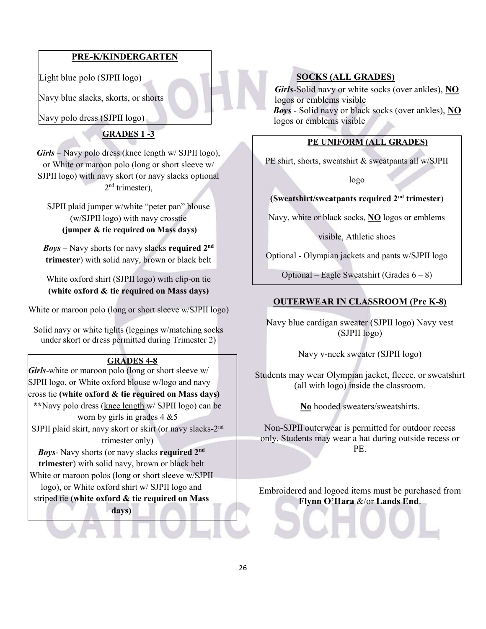# PRE-K/KINDERGARTEN

Light blue polo (SJPII logo)

Navy blue slacks, skorts, or shorts

Navy polo dress (SJPII logo)

# GRADES 1 -3

 $Girls - Navy$  polo dress (knee length w/ SJPII logo), or White or maroon polo (long or short sleeve w/ SJPII logo) with navy skort (or navy slacks optional 2 nd trimester),

SJPII plaid jumper w/white "peter pan" blouse (w/SJPII logo) with navy crosstie (jumper & tie required on Mass days)

 $Boys -$  Navy shorts (or navy slacks required  $2<sup>nd</sup>$ trimester) with solid navy, brown or black belt

White oxford shirt (SJPII logo) with clip-on tie (white oxford & tie required on Mass days)

White or maroon polo (long or short sleeve w/SJPII logo)

Solid navy or white tights (leggings w/matching socks under skort or dress permitted during Trimester 2)

#### GRADES 4-8

Girls-white or maroon polo (long or short sleeve w/ SJPII logo, or White oxford blouse w/logo and navy cross tie (white oxford  $\&$  tie required on Mass days) \*\*Navy polo dress (knee length w/ SJPII logo) can be worn by girls in grades  $4 \& 5$ SJPII plaid skirt, navy skort or skirt (or navy slacks-2nd trimester only)

Boys- Navy shorts (or navy slacks required 2nd trimester) with solid navy, brown or black belt White or maroon polos (long or short sleeve w/SJPII

logo), or White oxford shirt w/ SJPII logo and

striped tie (white oxford & tie required on Mass

days)

# SOCKS (ALL GRADES)

Girls-Solid navy or white socks (over ankles), NO logos or emblems visible Boys - Solid navy or black socks (over ankles), NO logos or emblems visible

## PE UNIFORM (ALL GRADES)

PE shirt, shorts, sweatshirt & sweatpants all w/SJPII

logo

#### (Sweatshirt/sweatpants required 2nd trimester)

Navy, white or black socks, NO logos or emblems

visible, Athletic shoes

Optional - Olympian jackets and pants w/SJPII logo

Optional – Eagle Sweatshirt (Grades  $6 - 8$ )

#### OUTERWEAR IN CLASSROOM (Pre K-8)

Navy blue cardigan sweater (SJPII logo) Navy vest (SJPII logo)

Navy v-neck sweater (SJPII logo)

Students may wear Olympian jacket, fleece, or sweatshirt (all with logo) inside the classroom.

No hooded sweaters/sweatshirts.

Non-SJPII outerwear is permitted for outdoor recess only. Students may wear a hat during outside recess or PE.

Embroidered and logoed items must be purchased from Flynn O'Hara &/or Lands End.